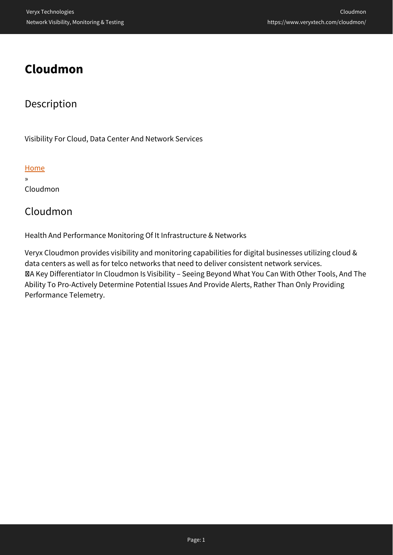# **Cloudmon**

### Description

Visibility For Cloud, Data Center And Network Services

#### **[Home](https://www.veryxtech.com)**

» Cloudmon

### Cloudmon

Health And Performance Monitoring Of It Infrastructure & Networks

Veryx Cloudmon provides visibility and monitoring capabilities for digital businesses utilizing cloud & data centers as well as for telco networks that need to deliver consistent network services. A Key Differentiator In Cloudmon Is Visibility – Seeing Beyond What You Can With Other Tools, And The Ability To Pro-Actively Determine Potential Issues And Provide Alerts, Rather Than Only Providing Performance Telemetry.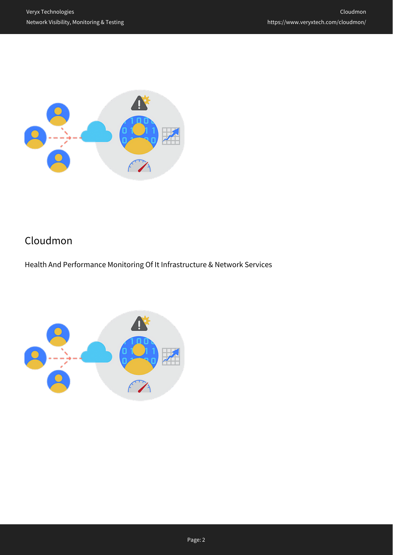

## Cloudmon

Health And Performance Monitoring Of It Infrastructure & Network Services

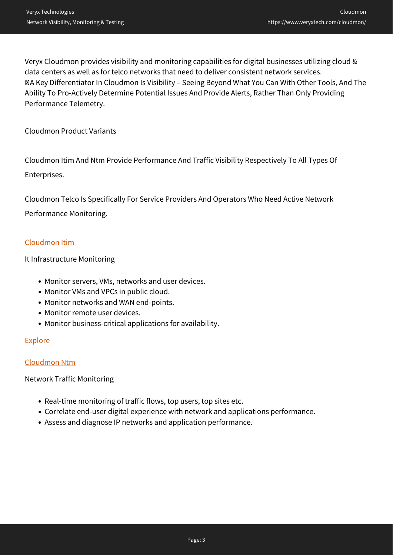Veryx Cloudmon provides visibility and monitoring capabilities for digital businesses utilizing cloud & data centers as well as for telco networks that need to deliver consistent network services. A Key Differentiator In Cloudmon Is Visibility – Seeing Beyond What You Can With Other Tools, And The Ability To Pro-Actively Determine Potential Issues And Provide Alerts, Rather Than Only Providing Performance Telemetry.

Cloudmon Product Variants

Cloudmon Itim And Ntm Provide Performance And Traffic Visibility Respectively To All Types Of Enterprises.

Cloudmon Telco Is Specifically For Service Providers And Operators Who Need Active Network Performance Monitoring.

#### [Cloudmon Itim](https://www.veryxtech.com/cloudmon/it-and-network-monitoring/)

It Infrastructure Monitoring

- Monitor servers, VMs, networks and user devices.
- Monitor VMs and VPCs in public cloud.
- Monitor networks and WAN end-points.
- Monitor remote user devices.
- Monitor business-critical applications for availability.

#### **[Explore](https://www.veryxtech.com/cloudmon/it-and-network-monitoring/)**

#### [Cloudmon Ntm](https://www.veryxtech.com/cloudmon/network-traffic-monitoring/)

Network Traffic Monitoring

- Real-time monitoring of traffic flows, top users, top sites etc.
- Correlate end-user digital experience with network and applications performance.
- Assess and diagnose IP networks and application performance.